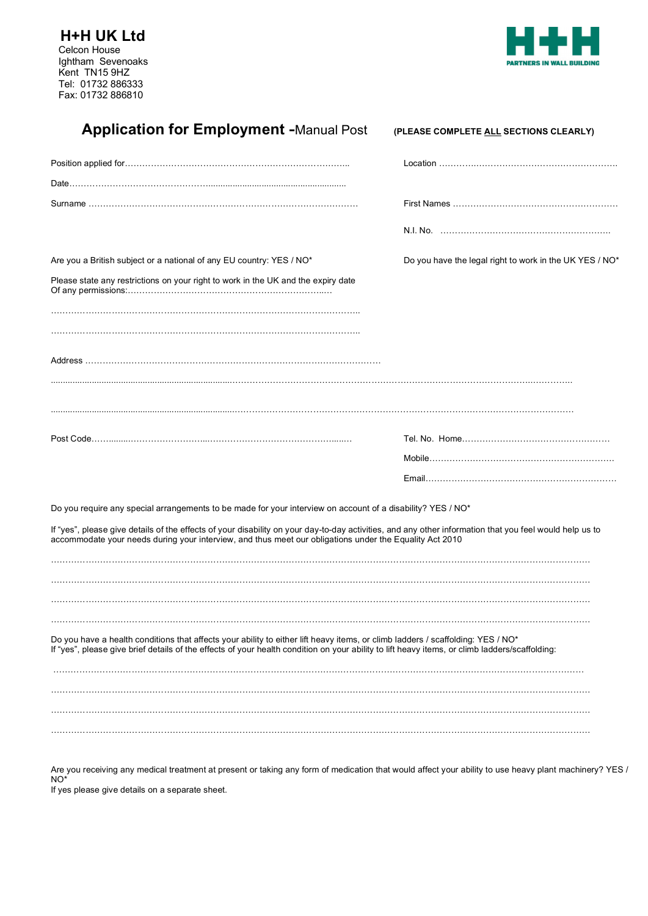**H+H UK Ltd** Celcon House Ightham Sevenoaks Kent TN15 9HZ Tel: 01732 886333 Fax: 01732 886810



| <b>Application for Employment -Manual Post</b>                                                                                                                                                                                                                     | (PLEASE COMPLETE ALL SECTIONS CLEARLY)                  |
|--------------------------------------------------------------------------------------------------------------------------------------------------------------------------------------------------------------------------------------------------------------------|---------------------------------------------------------|
|                                                                                                                                                                                                                                                                    |                                                         |
|                                                                                                                                                                                                                                                                    |                                                         |
|                                                                                                                                                                                                                                                                    |                                                         |
|                                                                                                                                                                                                                                                                    |                                                         |
| Are you a British subject or a national of any EU country: YES / NO*                                                                                                                                                                                               | Do you have the legal right to work in the UK YES / NO* |
| Please state any restrictions on your right to work in the UK and the expiry date                                                                                                                                                                                  |                                                         |
|                                                                                                                                                                                                                                                                    |                                                         |
|                                                                                                                                                                                                                                                                    |                                                         |
|                                                                                                                                                                                                                                                                    |                                                         |
|                                                                                                                                                                                                                                                                    |                                                         |
|                                                                                                                                                                                                                                                                    |                                                         |
|                                                                                                                                                                                                                                                                    |                                                         |
| Do you require any special arrangements to be made for your interview on account of a disability? YES / NO*                                                                                                                                                        |                                                         |
| If "yes", please give details of the effects of your disability on your day-to-day activities, and any other information that you feel would help us to<br>accommodate your needs during your interview, and thus meet our obligations under the Equality Act 2010 |                                                         |
|                                                                                                                                                                                                                                                                    |                                                         |
| Do you have a health conditions that affects your ability to either lift heavy items, or climb ladders / scaffolding: YES / NO*                                                                                                                                    |                                                         |
| If "yes", please give brief details of the effects of your health condition on your ability to lift heavy items, or climb ladders/scaffolding:                                                                                                                     |                                                         |
|                                                                                                                                                                                                                                                                    |                                                         |
|                                                                                                                                                                                                                                                                    |                                                         |

Are you receiving any medical treatment at present or taking any form of medication that would affect your ability to use heavy plant machinery? YES / NO\*

If yes please give details on a separate sheet.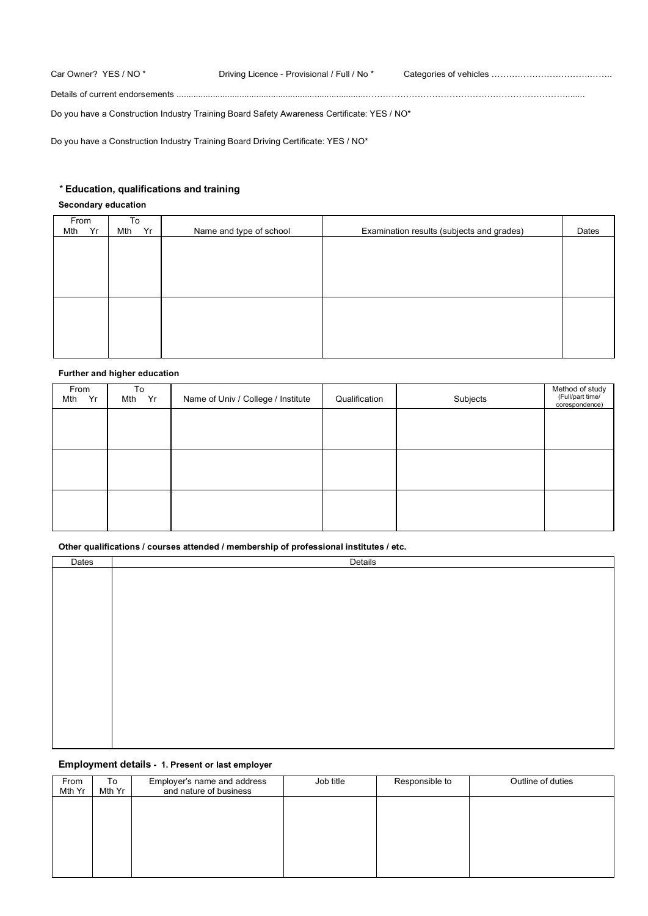| Car Owner? YES / NO *           | Driving Licence - Provisional / Full / No * |  |
|---------------------------------|---------------------------------------------|--|
| Details of current endorsements |                                             |  |

Do you have a Construction Industry Training Board Safety Awareness Certificate: YES / NO\*

Do you have a Construction Industry Training Board Driving Certificate: YES / NO\*

### *\** **Education, qualifications and training**

### **Secondary education**

| From |    | To  |    |                         |                                           |       |
|------|----|-----|----|-------------------------|-------------------------------------------|-------|
| Mth  | Yr | Mth | Yr | Name and type of school | Examination results (subjects and grades) | Dates |
|      |    |     |    |                         |                                           |       |
|      |    |     |    |                         |                                           |       |
|      |    |     |    |                         |                                           |       |
|      |    |     |    |                         |                                           |       |
|      |    |     |    |                         |                                           |       |
|      |    |     |    |                         |                                           |       |
|      |    |     |    |                         |                                           |       |
|      |    |     |    |                         |                                           |       |
|      |    |     |    |                         |                                           |       |
|      |    |     |    |                         |                                           |       |
|      |    |     |    |                         |                                           |       |
|      |    |     |    |                         |                                           |       |

### **Further and higher education**

| From<br>Yr<br>Mth | To<br>Mth Yr | Name of Univ / College / Institute | Qualification | Subjects | Method of study<br>(Full/part time/<br>corespondence) |
|-------------------|--------------|------------------------------------|---------------|----------|-------------------------------------------------------|
|                   |              |                                    |               |          |                                                       |
|                   |              |                                    |               |          |                                                       |
|                   |              |                                    |               |          |                                                       |
|                   |              |                                    |               |          |                                                       |
|                   |              |                                    |               |          |                                                       |
|                   |              |                                    |               |          |                                                       |

**Other qualifications / courses attended / membership of professional institutes / etc.**

| Dates | Details |
|-------|---------|
|       |         |
|       |         |
|       |         |
|       |         |
|       |         |
|       |         |
|       |         |
|       |         |
|       |         |
|       |         |
|       |         |
|       |         |
|       |         |
|       |         |
|       |         |
|       |         |
|       |         |
|       |         |

### **Employment details - 1. Present or last employer**

| From<br>Mth Yr | To<br>Mth Yr | Employer's name and address<br>and nature of business | Job title | Responsible to | Outline of duties |
|----------------|--------------|-------------------------------------------------------|-----------|----------------|-------------------|
|                |              |                                                       |           |                |                   |
|                |              |                                                       |           |                |                   |
|                |              |                                                       |           |                |                   |
|                |              |                                                       |           |                |                   |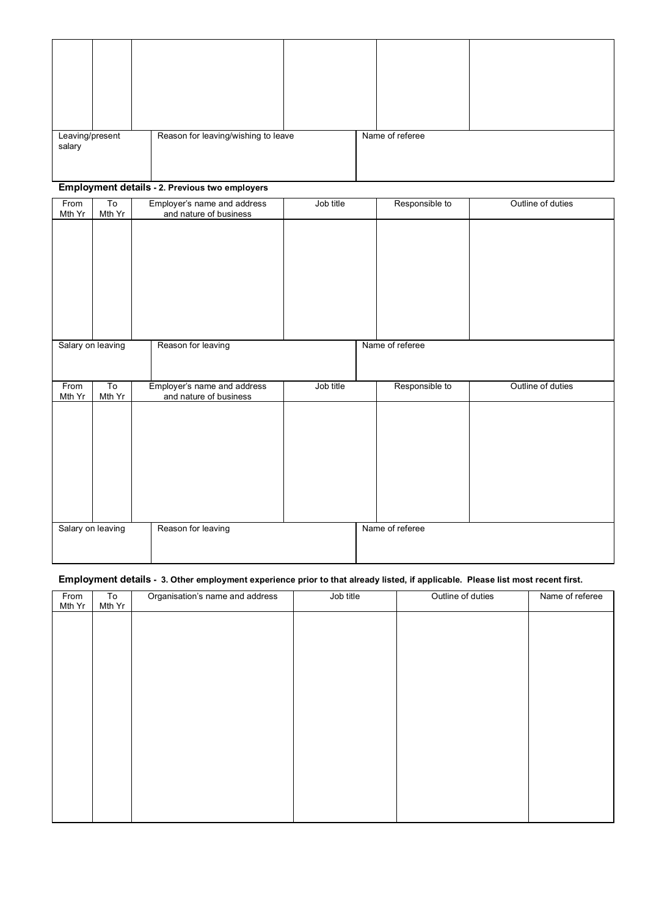| Leaving/present<br>salary | Reason for leaving/wishing to leave | Name of referee |  |
|---------------------------|-------------------------------------|-----------------|--|

# **Employment details - 2. Previous two employers**

| From<br>Mth Yr    | To<br>Mth Yr | Employer's name and address<br>and nature of business | Job title | Responsible to  | Outline of duties |
|-------------------|--------------|-------------------------------------------------------|-----------|-----------------|-------------------|
|                   |              |                                                       |           |                 |                   |
|                   |              |                                                       |           |                 |                   |
|                   |              |                                                       |           |                 |                   |
|                   |              |                                                       |           |                 |                   |
|                   |              |                                                       |           |                 |                   |
|                   |              |                                                       |           |                 |                   |
|                   |              |                                                       |           |                 |                   |
| Salary on leaving |              | Reason for leaving                                    |           | Name of referee |                   |
|                   |              |                                                       |           |                 |                   |
| From              | To           | Employer's name and address                           |           | Responsible to  |                   |
|                   |              |                                                       |           |                 |                   |
| Mth Yr            | Mth Yr       | and nature of business                                | Job title |                 | Outline of duties |
|                   |              |                                                       |           |                 |                   |
|                   |              |                                                       |           |                 |                   |
|                   |              |                                                       |           |                 |                   |
|                   |              |                                                       |           |                 |                   |
|                   |              |                                                       |           |                 |                   |
|                   |              |                                                       |           |                 |                   |
|                   |              |                                                       |           |                 |                   |
| Salary on leaving |              | Reason for leaving                                    |           | Name of referee |                   |
|                   |              |                                                       |           |                 |                   |

## **Employment details - 3. Other employment experience prior to that already listed, if applicable. Please list most recent first.**

| From   | $\overline{10}$ | Organisation's name and address | Job title | Outline of duties | Name of referee |
|--------|-----------------|---------------------------------|-----------|-------------------|-----------------|
| Mth Yr | Mth Yr          |                                 |           |                   |                 |
|        |                 |                                 |           |                   |                 |
|        |                 |                                 |           |                   |                 |
|        |                 |                                 |           |                   |                 |
|        |                 |                                 |           |                   |                 |
|        |                 |                                 |           |                   |                 |
|        |                 |                                 |           |                   |                 |
|        |                 |                                 |           |                   |                 |
|        |                 |                                 |           |                   |                 |
|        |                 |                                 |           |                   |                 |
|        |                 |                                 |           |                   |                 |
|        |                 |                                 |           |                   |                 |
|        |                 |                                 |           |                   |                 |
|        |                 |                                 |           |                   |                 |
|        |                 |                                 |           |                   |                 |
|        |                 |                                 |           |                   |                 |
|        |                 |                                 |           |                   |                 |
|        |                 |                                 |           |                   |                 |
|        |                 |                                 |           |                   |                 |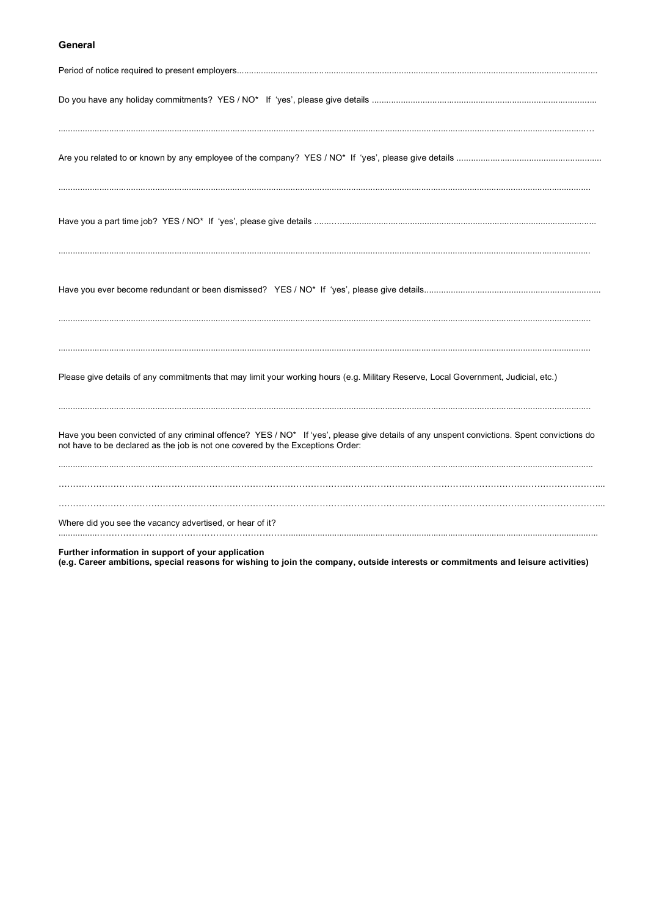## General

| Please give details of any commitments that may limit your working hours (e.g. Military Reserve, Local Government, Judicial, etc.)                                                                                          |
|-----------------------------------------------------------------------------------------------------------------------------------------------------------------------------------------------------------------------------|
| Have you been convicted of any criminal offence? YES / NO* If 'yes', please give details of any unspent convictions. Spent convictions do<br>not have to be declared as the job is not one covered by the Exceptions Order: |
| Where did you see the vacancy advertised, or hear of it?                                                                                                                                                                    |
| Further information in support of your application                                                                                                                                                                          |

Further information in support of your application<br>(e.g. Career ambitions, special reasons for wishing to join the company, outside interests or commitments and leisure activities)